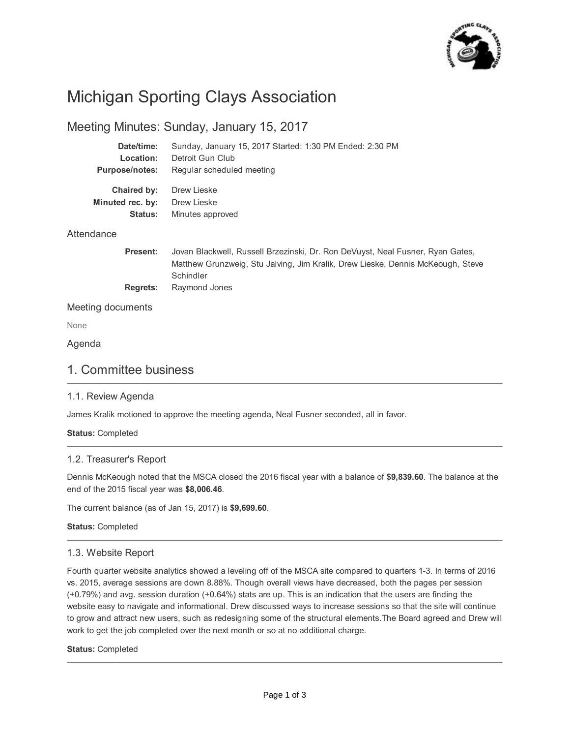

# Michigan Sporting Clays Association

## Meeting Minutes: Sunday, January 15, 2017

| Date/time:            | Sunday, January 15, 2017 Started: 1:30 PM Ended: 2:30 PM                       |
|-----------------------|--------------------------------------------------------------------------------|
| Location:             | Detroit Gun Club                                                               |
| <b>Purpose/notes:</b> | Regular scheduled meeting                                                      |
| Chaired by:           | Drew Lieske                                                                    |
| Minuted rec. by:      | Drew Lieske                                                                    |
| <b>Status:</b>        | Minutes approved                                                               |
| Attendance            |                                                                                |
| <b>Present:</b>       | Jovan Blackwell, Russell Brzezinski, Dr. Ron DeVuyst, Neal Fusner, Ryan Gates, |

**Regrets:** Matthew Grunzweig, Stu Jalving, Jim Kralik, Drew Lieske, Dennis McKeough, Steve **Schindler** Raymond Jones

#### Meeting documents

None

#### Agenda

#### 1. Committee business

#### 1.1. Review Agenda

James Kralik motioned to approve the meeting agenda, Neal Fusner seconded, all in favor.

#### **Status:** Completed

#### 1.2. Treasurer's Report

Dennis McKeough noted that the MSCA closed the 2016 fiscal year with a balance of **\$9,839.60**. The balance at the end of the 2015 fiscal year was **\$8,006.46**.

The current balance (as of Jan 15, 2017) is **\$9,699.60**.

**Status:** Completed

#### 1.3. Website Report

Fourth quarter website analytics showed a leveling off of the MSCA site compared to quarters 1-3. In terms of 2016 vs. 2015, average sessions are down 8.88%. Though overall views have decreased, both the pages per session (+0.79%) and avg. session duration (+0.64%) stats are up. This is an indication that the users are finding the website easy to navigate and informational. Drew discussed ways to increase sessions so that the site will continue to grow and attract new users, such as redesigning some of the structural elements.The Board agreed and Drew will work to get the job completed over the next month or so at no additional charge.

#### **Status:** Completed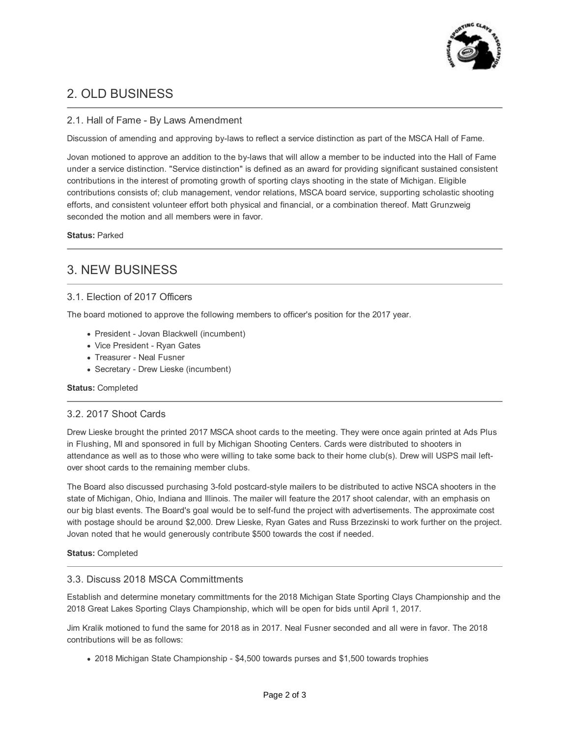

## 2. OLD BUSINESS

#### 2.1. Hall of Fame - By Laws Amendment

Discussion of amending and approving by-laws to reflect a service distinction as part of the MSCA Hall of Fame.

Jovan motioned to approve an addition to the by-laws that will allow a member to be inducted into the Hall of Fame under a service distinction. "Service distinction" is defined as an award for providing significant sustained consistent contributions in the interest of promoting growth of sporting clays shooting in the state of Michigan. Eligible contributions consists of; club management, vendor relations, MSCA board service, supporting scholastic shooting efforts, and consistent volunteer effort both physical and financial, or a combination thereof. Matt Grunzweig seconded the motion and all members were in favor.

#### **Status:** Parked

## 3. NEW BUSINESS

#### 3.1. Election of 2017 Officers

The board motioned to approve the following members to officer's position for the 2017 year.

- President Jovan Blackwell (incumbent)
- Vice President Ryan Gates
- Treasurer Neal Fusner
- Secretary Drew Lieske (incumbent)

#### **Status:** Completed

#### 3.2. 2017 Shoot Cards

Drew Lieske brought the printed 2017 MSCA shoot cards to the meeting. They were once again printed at Ads Plus in Flushing, MI and sponsored in full by Michigan Shooting Centers. Cards were distributed to shooters in attendance as well as to those who were willing to take some back to their home club(s). Drew will USPS mail leftover shoot cards to the remaining member clubs.

The Board also discussed purchasing 3-fold postcard-style mailers to be distributed to active NSCA shooters in the state of Michigan, Ohio, Indiana and Illinois. The mailer will feature the 2017 shoot calendar, with an emphasis on our big blast events. The Board's goal would be to self-fund the project with advertisements. The approximate cost with postage should be around \$2,000. Drew Lieske, Ryan Gates and Russ Brzezinski to work further on the project. Jovan noted that he would generously contribute \$500 towards the cost if needed.

#### **Status:** Completed

#### 3.3. Discuss 2018 MSCA Committments

Establish and determine monetary committments for the 2018 Michigan State Sporting Clays Championship and the 2018 Great Lakes Sporting Clays Championship, which will be open for bids until April 1, 2017.

Jim Kralik motioned to fund the same for 2018 as in 2017. Neal Fusner seconded and all were in favor. The 2018 contributions will be as follows:

2018 Michigan State Championship - \$4,500 towards purses and \$1,500 towards trophies